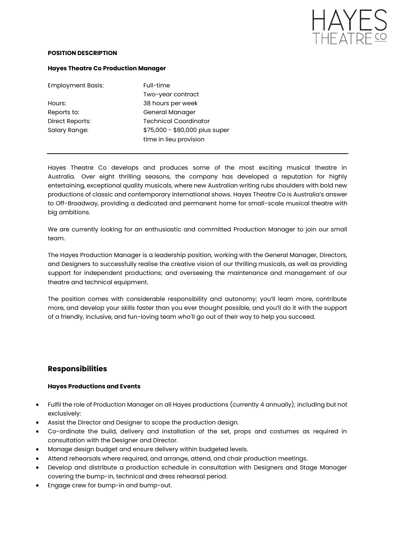

#### **POSITION DESCRIPTION**

#### **Hayes Theatre Co Production Manager**

| <b>Employment Basis:</b> | Full-time                      |
|--------------------------|--------------------------------|
|                          | Two-year contract              |
| Hours:                   | 38 hours per week              |
| Reports to:              | General Manager                |
| Direct Reports:          | <b>Technical Coordinator</b>   |
| Salary Range:            | \$75,000 - \$80,000 plus super |
|                          | time in lieu provision         |

Hayes Theatre Co develops and produces some of the most exciting musical theatre in Australia. Over eight thrilling seasons, the company has developed a reputation for highly entertaining, exceptional quality musicals, where new Australian writing rubs shoulders with bold new productions of classic and contemporary international shows. Hayes Theatre Co is Australia's answer to Off-Broadway, providing a dedicated and permanent home for small-scale musical theatre with big ambitions.

We are currently looking for an enthusiastic and committed Production Manager to join our small team.

The Hayes Production Manager is a leadership position, working with the General Manager, Directors, and Designers to successfully realise the creative vision of our thrilling musicals, as well as providing support for independent productions; and overseeing the maintenance and management of our theatre and technical equipment.

The position comes with considerable responsibility and autonomy; you'll learn more, contribute more, and develop your skills faster than you ever thought possible, and you'll do it with the support of a friendly, inclusive, and fun-loving team who'll go out of their way to help you succeed.

# **Responsibilities**

### **Hayes Productions and Events**

- Fulfil the role of Production Manager on all Hayes productions (currently 4 annually); including but not exclusively:
- Assist the Director and Designer to scope the production design.
- Co-ordinate the build, delivery and installation of the set, props and costumes as required in consultation with the Designer and Director.
- Manage design budget and ensure delivery within budgeted levels.
- Attend rehearsals where required, and arrange, attend, and chair production meetings.
- Develop and distribute a production schedule in consultation with Designers and Stage Manager covering the bump-in, technical and dress rehearsal period.
- Engage crew for bump-in and bump-out.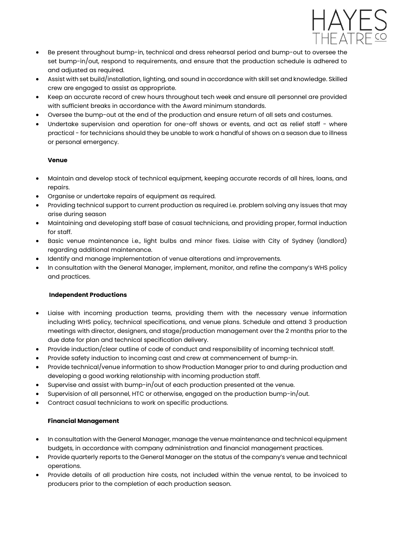

- Be present throughout bump-in, technical and dress rehearsal period and bump-out to oversee the set bump-in/out, respond to requirements, and ensure that the production schedule is adhered to and adjusted as required.
- Assist with set build/installation, lighting, and sound in accordance with skill set and knowledge. Skilled crew are engaged to assist as appropriate.
- Keep an accurate record of crew hours throughout tech week and ensure all personnel are provided with sufficient breaks in accordance with the Award minimum standards.
- Oversee the bump-out at the end of the production and ensure return of all sets and costumes.
- Undertake supervision and operation for one-off shows or events, and act as relief staff where practical - for technicians should they be unable to work a handful of shows on a season due to illness or personal emergency.

## **Venue**

- Maintain and develop stock of technical equipment, keeping accurate records of all hires, loans, and repairs.
- Organise or undertake repairs of equipment as required.
- Providing technical support to current production as required i.e. problem solving any issues that may arise during season
- Maintaining and developing staff base of casual technicians, and providing proper, formal induction for staff.
- Basic venue maintenance i.e., light bulbs and minor fixes. Liaise with City of Sydney (landlord) regarding additional maintenance.
- Identify and manage implementation of venue alterations and improvements.
- In consultation with the General Manager, implement, monitor, and refine the company's WHS policy and practices.

### **Independent Productions**

- Liaise with incoming production teams, providing them with the necessary venue information including WHS policy, technical specifications, and venue plans. Schedule and attend 3 production meetings with director, designers, and stage/production management over the 2 months prior to the due date for plan and technical specification delivery.
- Provide induction/clear outline of code of conduct and responsibility of incoming technical staff.
- Provide safety induction to incoming cast and crew at commencement of bump-in.
- Provide technical/venue information to show Production Manager prior to and during production and developing a good working relationship with incoming production staff.
- Supervise and assist with bump-in/out of each production presented at the venue.
- Supervision of all personnel, HTC or otherwise, engaged on the production bump-in/out.
- Contract casual technicians to work on specific productions.

### **Financial Management**

- In consultation with the General Manager, manage the venue maintenance and technical equipment budgets, in accordance with company administration and financial management practices.
- Provide quarterly reports to the General Manager on the status of the company's venue and technical operations.
- Provide details of all production hire costs, not included within the venue rental, to be invoiced to producers prior to the completion of each production season.